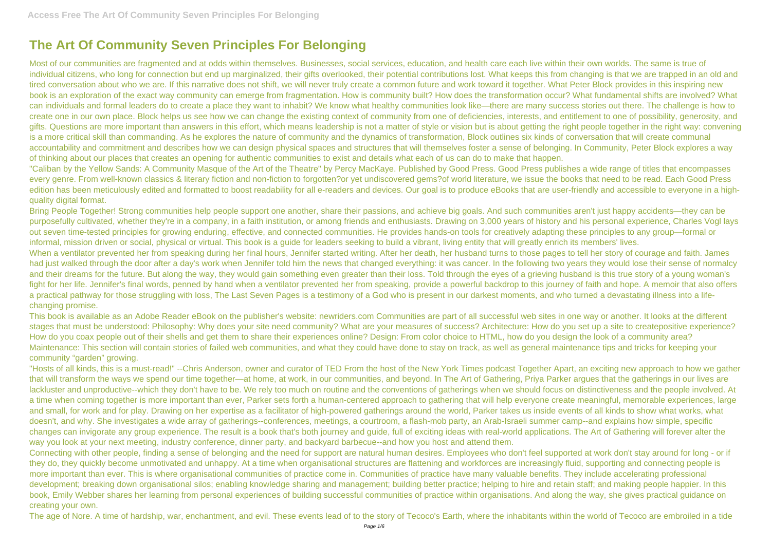## **The Art Of Community Seven Principles For Belonging**

Most of our communities are fragmented and at odds within themselves. Businesses, social services, education, and health care each live within their own worlds. The same is true of individual citizens, who long for connection but end up marginalized, their gifts overlooked, their potential contributions lost. What keeps this from changing is that we are trapped in an old and tired conversation about who we are. If this narrative does not shift, we will never truly create a common future and work toward it together. What Peter Block provides in this inspiring new book is an exploration of the exact way community can emerge from fragmentation. How is community built? How does the transformation occur? What fundamental shifts are involved? What can individuals and formal leaders do to create a place they want to inhabit? We know what healthy communities look like—there are many success stories out there. The challenge is how to create one in our own place. Block helps us see how we can change the existing context of community from one of deficiencies, interests, and entitlement to one of possibility, generosity, and gifts. Questions are more important than answers in this effort, which means leadership is not a matter of style or vision but is about getting the right people together in the right way: convening is a more critical skill than commanding. As he explores the nature of community and the dynamics of transformation, Block outlines six kinds of conversation that will create communal accountability and commitment and describes how we can design physical spaces and structures that will themselves foster a sense of belonging. In Community, Peter Block explores a way of thinking about our places that creates an opening for authentic communities to exist and details what each of us can do to make that happen.

Bring People Together! Strong communities help people support one another, share their passions, and achieve big goals. And such communities aren't just happy accidents—they can be purposefully cultivated, whether they're in a company, in a faith institution, or among friends and enthusiasts. Drawing on 3,000 years of history and his personal experience, Charles Vogl lays out seven time-tested principles for growing enduring, effective, and connected communities. He provides hands-on tools for creatively adapting these principles to any group—formal or informal, mission driven or social, physical or virtual. This book is a guide for leaders seeking to build a vibrant, living entity that will greatly enrich its members' lives. When a ventilator prevented her from speaking during her final hours, Jennifer started writing. After her death, her husband turns to those pages to tell her story of courage and faith. James had just walked through the door after a day's work when Jennifer told him the news that changed everything: it was cancer. In the following two years they would lose their sense of normalcy and their dreams for the future. But along the way, they would gain something even greater than their loss. Told through the eyes of a grieving husband is this true story of a young woman's fight for her life. Jennifer's final words, penned by hand when a ventilator prevented her from speaking, provide a powerful backdrop to this journey of faith and hope. A memoir that also offers a practical pathway for those struggling with loss, The Last Seven Pages is a testimony of a God who is present in our darkest moments, and who turned a devastating illness into a lifechanging promise.

"Caliban by the Yellow Sands: A Community Masque of the Art of the Theatre" by Percy MacKaye. Published by Good Press. Good Press publishes a wide range of titles that encompasses every genre. From well-known classics & literary fiction and non-fiction to forgotten?or yet undiscovered gems?of world literature, we issue the books that need to be read. Each Good Press edition has been meticulously edited and formatted to boost readability for all e-readers and devices. Our goal is to produce eBooks that are user-friendly and accessible to everyone in a highquality digital format.

This book is available as an Adobe Reader eBook on the publisher's website: newriders.com Communities are part of all successful web sites in one way or another. It looks at the different stages that must be understood: Philosophy: Why does your site need community? What are your measures of success? Architecture: How do you set up a site to createpositive experience? How do you coax people out of their shells and get them to share their experiences online? Design: From color choice to HTML, how do you design the look of a community area? Maintenance: This section will contain stories of failed web communities, and what they could have done to stay on track, as well as general maintenance tips and tricks for keeping your community "garden" growing.

"Hosts of all kinds, this is a must-read!" --Chris Anderson, owner and curator of TED From the host of the New York Times podcast Together Apart, an exciting new approach to how we gather that will transform the ways we spend our time together—at home, at work, in our communities, and beyond. In The Art of Gathering, Priya Parker argues that the gatherings in our lives are lackluster and unproductive--which they don't have to be. We rely too much on routine and the conventions of gatherings when we should focus on distinctiveness and the people involved. At a time when coming together is more important than ever, Parker sets forth a human-centered approach to gathering that will help everyone create meaningful, memorable experiences, large and small, for work and for play. Drawing on her expertise as a facilitator of high-powered gatherings around the world, Parker takes us inside events of all kinds to show what works, what doesn't, and why. She investigates a wide array of gatherings--conferences, meetings, a courtroom, a flash-mob party, an Arab-Israeli summer camp--and explains how simple, specific changes can invigorate any group experience. The result is a book that's both journey and guide, full of exciting ideas with real-world applications. The Art of Gathering will forever alter the way you look at your next meeting, industry conference, dinner party, and backyard barbecue--and how you host and attend them.

Connecting with other people, finding a sense of belonging and the need for support are natural human desires. Employees who don't feel supported at work don't stay around for long - or if they do, they quickly become unmotivated and unhappy. At a time when organisational structures are flattening and workforces are increasingly fluid, supporting and connecting people is more important than ever. This is where organisational communities of practice come in. Communities of practice have many valuable benefits. They include accelerating professional development; breaking down organisational silos; enabling knowledge sharing and management; building better practice; helping to hire and retain staff; and making people happier. In this book, Emily Webber shares her learning from personal experiences of building successful communities of practice within organisations. And along the way, she gives practical guidance on creating your own.

The age of Nore. A time of hardship, war, enchantment, and evil. These events lead of to the story of Tecoco's Earth, where the inhabitants within the world of Tecoco are embroiled in a tide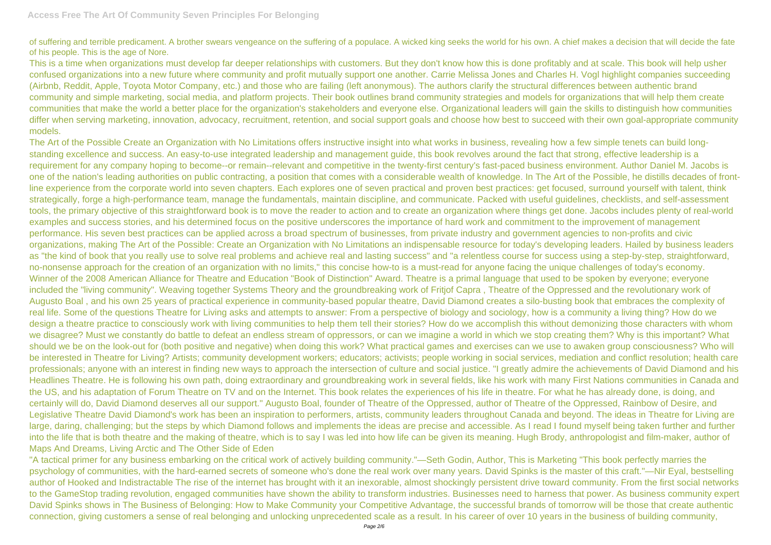of suffering and terrible predicament. A brother swears vengeance on the suffering of a populace. A wicked king seeks the world for his own. A chief makes a decision that will decide the fate of his people. This is the age of Nore.

This is a time when organizations must develop far deeper relationships with customers. But they don't know how this is done profitably and at scale. This book will help usher confused organizations into a new future where community and profit mutually support one another. Carrie Melissa Jones and Charles H. Vogl highlight companies succeeding (Airbnb, Reddit, Apple, Toyota Motor Company, etc.) and those who are failing (left anonymous). The authors clarify the structural differences between authentic brand community and simple marketing, social media, and platform projects. Their book outlines brand community strategies and models for organizations that will help them create communities that make the world a better place for the organization's stakeholders and everyone else. Organizational leaders will gain the skills to distinguish how communities differ when serving marketing, innovation, advocacy, recruitment, retention, and social support goals and choose how best to succeed with their own goal-appropriate community models.

The Art of the Possible Create an Organization with No Limitations offers instructive insight into what works in business, revealing how a few simple tenets can build longstanding excellence and success. An easy-to-use integrated leadership and management guide, this book revolves around the fact that strong, effective leadership is a requirement for any company hoping to become--or remain--relevant and competitive in the twenty-first century's fast-paced business environment. Author Daniel M. Jacobs is one of the nation's leading authorities on public contracting, a position that comes with a considerable wealth of knowledge. In The Art of the Possible, he distills decades of frontline experience from the corporate world into seven chapters. Each explores one of seven practical and proven best practices: get focused, surround yourself with talent, think strategically, forge a high-performance team, manage the fundamentals, maintain discipline, and communicate. Packed with useful guidelines, checklists, and self-assessment tools, the primary objective of this straightforward book is to move the reader to action and to create an organization where things get done. Jacobs includes plenty of real-world examples and success stories, and his determined focus on the positive underscores the importance of hard work and commitment to the improvement of management performance. His seven best practices can be applied across a broad spectrum of businesses, from private industry and government agencies to non-profits and civic organizations, making The Art of the Possible: Create an Organization with No Limitations an indispensable resource for today's developing leaders. Hailed by business leaders as "the kind of book that you really use to solve real problems and achieve real and lasting success" and "a relentless course for success using a step-by-step, straightforward, no-nonsense approach for the creation of an organization with no limits," this concise how-to is a must-read for anyone facing the unique challenges of today's economy. Winner of the 2008 American Alliance for Theatre and Education "Book of Distinction" Award. Theatre is a primal language that used to be spoken by everyone; everyone included the "living community". Weaving together Systems Theory and the groundbreaking work of Fritjof Capra , Theatre of the Oppressed and the revolutionary work of Augusto Boal , and his own 25 years of practical experience in community-based popular theatre, David Diamond creates a silo-busting book that embraces the complexity of real life. Some of the questions Theatre for Living asks and attempts to answer: From a perspective of biology and sociology, how is a community a living thing? How do we design a theatre practice to consciously work with living communities to help them tell their stories? How do we accomplish this without demonizing those characters with whom we disagree? Must we constantly do battle to defeat an endless stream of oppressors, or can we imagine a world in which we stop creating them? Why is this important? What should we be on the look-out for (both positive and negative) when doing this work? What practical games and exercises can we use to awaken group consciousness? Who will be interested in Theatre for Living? Artists; community development workers; educators; activists; people working in social services, mediation and conflict resolution; health care professionals; anyone with an interest in finding new ways to approach the intersection of culture and social justice. "I greatly admire the achievements of David Diamond and his Headlines Theatre. He is following his own path, doing extraordinary and groundbreaking work in several fields, like his work with many First Nations communities in Canada and the US, and his adaptation of Forum Theatre on TV and on the Internet. This book relates the experiences of his life in theatre. For what he has already done, is doing, and certainly will do, David Diamond deserves all our support." Augusto Boal, founder of Theatre of the Oppressed, author of Theatre of the Oppressed, Rainbow of Desire, and Legislative Theatre David Diamond's work has been an inspiration to performers, artists, community leaders throughout Canada and beyond. The ideas in Theatre for Living are large, daring, challenging; but the steps by which Diamond follows and implements the ideas are precise and accessible. As I read I found myself being taken further and further into the life that is both theatre and the making of theatre, which is to say I was led into how life can be given its meaning. Hugh Brody, anthropologist and film-maker, author of Maps And Dreams, Living Arctic and The Other Side of Eden

"A tactical primer for any business embarking on the critical work of actively building community."—Seth Godin, Author, This is Marketing "This book perfectly marries the psychology of communities, with the hard-earned secrets of someone who's done the real work over many years. David Spinks is the master of this craft."—Nir Eyal, bestselling author of Hooked and Indistractable The rise of the internet has brought with it an inexorable, almost shockingly persistent drive toward community. From the first social networks to the GameStop trading revolution, engaged communities have shown the ability to transform industries. Businesses need to harness that power. As business community expert David Spinks shows in The Business of Belonging: How to Make Community your Competitive Advantage, the successful brands of tomorrow will be those that create authentic connection, giving customers a sense of real belonging and unlocking unprecedented scale as a result. In his career of over 10 years in the business of building community,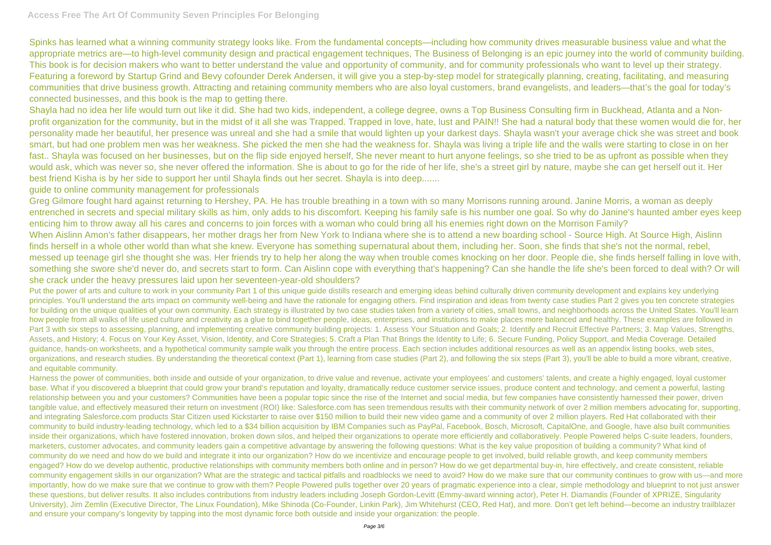Spinks has learned what a winning community strategy looks like. From the fundamental concepts—including how community drives measurable business value and what the appropriate metrics are—to high-level community design and practical engagement techniques, The Business of Belonging is an epic journey into the world of community building. This book is for decision makers who want to better understand the value and opportunity of community, and for community professionals who want to level up their strategy. Featuring a foreword by Startup Grind and Bevy cofounder Derek Andersen, it will give you a step-by-step model for strategically planning, creating, facilitating, and measuring communities that drive business growth. Attracting and retaining community members who are also loyal customers, brand evangelists, and leaders—that's the goal for today's connected businesses, and this book is the map to getting there.

Shayla had no idea her life would turn out like it did. She had two kids, independent, a college degree, owns a Top Business Consulting firm in Buckhead, Atlanta and a Nonprofit organization for the community, but in the midst of it all she was Trapped. Trapped in love, hate, lust and PAIN!! She had a natural body that these women would die for, her personality made her beautiful, her presence was unreal and she had a smile that would lighten up your darkest days. Shayla wasn't your average chick she was street and book smart, but had one problem men was her weakness. She picked the men she had the weakness for. Shayla was living a triple life and the walls were starting to close in on her fast.. Shayla was focused on her businesses, but on the flip side enjoyed herself, She never meant to hurt anyone feelings, so she tried to be as upfront as possible when they would ask, which was never so, she never offered the information. She is about to go for the ride of her life, she's a street girl by nature, maybe she can get herself out it. Her best friend Kisha is by her side to support her until Shayla finds out her secret. Shayla is into deep.......

guide to online community management for professionals

Put the power of arts and culture to work in your community Part 1 of this unique guide distills research and emerging ideas behind culturally driven community development and explains key underlying principles. You'll understand the arts impact on community well-being and have the rationale for engaging others. Find inspiration and ideas from twenty case studies Part 2 gives you ten concrete strategies for building on the unique qualities of your own community. Each strategy is illustrated by two case studies taken from a variety of cities, small towns, and neighborhoods across the United States. You'll learn how people from all walks of life used culture and creativity as a glue to bind together people, ideas, enterprises, and institutions to make places more balanced and healthy. These examples are followed in Part 3 with six steps to assessing, planning, and implementing creative community building projects: 1. Assess Your Situation and Goals; 2. Identify and Recruit Effective Partners; 3. Map Values, Strengths, Assets, and History; 4. Focus on Your Key Asset, Vision, Identity, and Core Strategies; 5. Craft a Plan That Brings the Identity to Life; 6. Secure Funding, Policy Support, and Media Coverage. Detailed guidance, hands-on worksheets, and a hypothetical community sample walk you through the entire process. Each section includes additional resources as well as an appendix listing books, web sites, organizations, and research studies. By understanding the theoretical context (Part 1), learning from case studies (Part 2), and following the six steps (Part 3), you'll be able to build a more vibrant, creative, and equitable community.

Greg Gilmore fought hard against returning to Hershey, PA. He has trouble breathing in a town with so many Morrisons running around. Janine Morris, a woman as deeply entrenched in secrets and special military skills as him, only adds to his discomfort. Keeping his family safe is his number one goal. So why do Janine's haunted amber eyes keep enticing him to throw away all his cares and concerns to join forces with a woman who could bring all his enemies right down on the Morrison Family? When Aislinn Amon's father disappears, her mother drags her from New York to Indiana where she is to attend a new boarding school - Source High. At Source High, Aislinn finds herself in a whole other world than what she knew. Everyone has something supernatural about them, including her. Soon, she finds that she's not the normal, rebel, messed up teenage girl she thought she was. Her friends try to help her along the way when trouble comes knocking on her door. People die, she finds herself falling in love with, something she swore she'd never do, and secrets start to form. Can Aislinn cope with everything that's happening? Can she handle the life she's been forced to deal with? Or will she crack under the heavy pressures laid upon her seventeen-year-old shoulders?

Harness the power of communities, both inside and outside of your organization, to drive value and revenue, activate your employees' and customers' talents, and create a highly engaged, loyal customer base. What if you discovered a blueprint that could grow your brand's reputation and loyalty, dramatically reduce customer service issues, produce content and technology, and cement a powerful, lasting relationship between you and your customers? Communities have been a popular topic since the rise of the Internet and social media, but few companies have consistently harnessed their power, driven tangible value, and effectively measured their return on investment (ROI) like: Salesforce.com has seen tremendous results with their community network of over 2 million members advocating for, supporting, and integrating Salesforce.com products Star Citizen used Kickstarter to raise over \$150 million to build their new video game and a community of over 2 million players. Red Hat collaborated with their community to build industry-leading technology, which led to a \$34 billion acquisition by IBM Companies such as PayPal, Facebook, Bosch, Microsoft, CapitalOne, and Google, have also built communities inside their organizations, which have fostered innovation, broken down silos, and helped their organizations to operate more efficiently and collaboratively. People Powered helps C-suite leaders, founders, marketers, customer advocates, and community leaders gain a competitive advantage by answering the following questions: What is the key value proposition of building a community? What kind of community do we need and how do we build and integrate it into our organization? How do we incentivize and encourage people to get involved, build reliable growth, and keep community members engaged? How do we develop authentic, productive relationships with community members both online and in person? How do we get departmental buy-in, hire effectively, and create consistent, reliable community engagement skills in our organization? What are the strategic and tactical pitfalls and roadblocks we need to avoid? How do we make sure that our community continues to grow with us—and more importantly, how do we make sure that we continue to grow with them? People Powered pulls together over 20 years of pragmatic experience into a clear, simple methodology and blueprint to not just answer these questions, but deliver results. It also includes contributions from industry leaders including Joseph Gordon-Levitt (Emmy-award winning actor), Peter H. Diamandis (Founder of XPRIZE, Singularity University), Jim Zemlin (Executive Director, The Linux Foundation), Mike Shinoda (Co-Founder, Linkin Park), Jim Whitehurst (CEO, Red Hat), and more. Don't get left behind—become an industry trailblazer and ensure your company's longevity by tapping into the most dynamic force both outside and inside your organization: the people.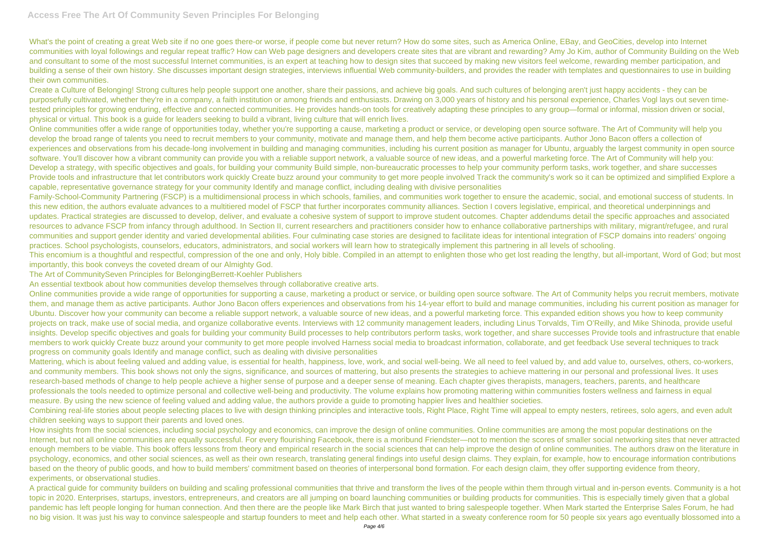What's the point of creating a great Web site if no one goes there-or worse, if people come but never return? How do some sites, such as America Online, EBay, and GeoCities, develop into Internet communities with loyal followings and regular repeat traffic? How can Web page designers and developers create sites that are vibrant and rewarding? Amy Jo Kim, author of Community Building on the Web and consultant to some of the most successful Internet communities, is an expert at teaching how to design sites that succeed by making new visitors feel welcome, rewarding member participation, and building a sense of their own history. She discusses important design strategies, interviews influential Web community-builders, and provides the reader with templates and questionnaires to use in building their own communities.

Create a Culture of Belonging! Strong cultures help people support one another, share their passions, and achieve big goals. And such cultures of belonging aren't just happy accidents - they can be purposefully cultivated, whether they're in a company, a faith institution or among friends and enthusiasts. Drawing on 3,000 years of history and his personal experience, Charles Vogl lays out seven timetested principles for growing enduring, effective and connected communities. He provides hands-on tools for creatively adapting these principles to any group—formal or informal, mission driven or social, physical or virtual. This book is a guide for leaders seeking to build a vibrant, living culture that will enrich lives.

Online communities offer a wide range of opportunities today, whether you're supporting a cause, marketing a product or service, or developing open source software. The Art of Community will help you develop the broad range of talents you need to recruit members to your community, motivate and manage them, and help them become active participants. Author Jono Bacon offers a collection of experiences and observations from his decade-long involvement in building and managing communities, including his current position as manager for Ubuntu, arguably the largest community in open source software. You'll discover how a vibrant community can provide you with a reliable support network, a valuable source of new ideas, and a powerful marketing force. The Art of Community will help you: Develop a strategy, with specific objectives and goals, for building your community Build simple, non-bureaucratic processes to help your community perform tasks, work together, and share successes Provide tools and infrastructure that let contributors work quickly Create buzz around your community to get more people involved Track the community's work so it can be optimized and simplified Explore a capable, representative governance strategy for your community Identify and manage conflict, including dealing with divisive personalities

Combining real-life stories about people selecting places to live with design thinking principles and interactive tools, Right Place, Right Time will appeal to empty nesters, retirees, solo agers, and even adult children seeking ways to support their parents and loved ones.

Family-School-Community Partnering (FSCP) is a multidimensional process in which schools, families, and communities work together to ensure the academic, social, and emotional success of students. In this new edition, the authors evaluate advances to a multitiered model of FSCP that further incorporates community alliances. Section I covers legislative, empirical, and theoretical underpinnings and updates. Practical strategies are discussed to develop, deliver, and evaluate a cohesive system of support to improve student outcomes. Chapter addendums detail the specific approaches and associated resources to advance FSCP from infancy through adulthood. In Section II, current researchers and practitioners consider how to enhance collaborative partnerships with military, migrant/refugee, and rural communities and support gender identity and varied developmental abilities. Four culminating case stories are designed to facilitate ideas for intentional integration of FSCP domains into readers' ongoing practices. School psychologists, counselors, educators, administrators, and social workers will learn how to strategically implement this partnering in all levels of schooling. This encomium is a thoughtful and respectful, compression of the one and only, Holy bible. Compiled in an attempt to enlighten those who get lost reading the lengthy, but all-important, Word of God; but most importantly, this book conveys the coveted dream of our Almighty God.

How insights from the social sciences, including social psychology and economics, can improve the design of online communities. Online communities are among the most popular destinations on the Internet, but not all online communities are equally successful. For every flourishing Facebook, there is a moribund Friendster—not to mention the scores of smaller social networking sites that never attracted enough members to be viable. This book offers lessons from theory and empirical research in the social sciences that can help improve the design of online communities. The authors draw on the literature in psychology, economics, and other social sciences, as well as their own research, translating general findings into useful design claims. They explain, for example, how to encourage information contributions based on the theory of public goods, and how to build members' commitment based on theories of interpersonal bond formation. For each design claim, they offer supporting evidence from theory, experiments, or observational studies.

A practical guide for community builders on building and scaling professional communities that thrive and transform the lives of the people within them through virtual and in-person events. Community is a hot topic in 2020. Enterprises, startups, investors, entrepreneurs, and creators are all jumping on board launching communities or building products for communities. This is especially timely given that a global pandemic has left people longing for human connection. And then there are the people like Mark Birch that just wanted to bring salespeople together. When Mark started the Enterprise Sales Forum, he had no big vision. It was just his way to convince salespeople and startup founders to meet and help each other. What started in a sweaty conference room for 50 people six years ago eventually blossomed into a

The Art of CommunitySeven Principles for BelongingBerrett-Koehler Publishers

An essential textbook about how communities develop themselves through collaborative creative arts.

Online communities provide a wide range of opportunities for supporting a cause, marketing a product or service, or building open source software. The Art of Community helps you recruit members, motivate them, and manage them as active participants. Author Jono Bacon offers experiences and observations from his 14-year effort to build and manage communities, including his current position as manager for Ubuntu. Discover how your community can become a reliable support network, a valuable source of new ideas, and a powerful marketing force. This expanded edition shows you how to keep community projects on track, make use of social media, and organize collaborative events. Interviews with 12 community management leaders, including Linus Torvalds, Tim O'Reilly, and Mike Shinoda, provide useful insights. Develop specific objectives and goals for building your community Build processes to help contributors perform tasks, work together, and share successes Provide tools and infrastructure that enable members to work quickly Create buzz around your community to get more people involved Harness social media to broadcast information, collaborate, and get feedback Use several techniques to track progress on community goals Identify and manage conflict, such as dealing with divisive personalities

Mattering, which is about feeling valued and adding value, is essential for health, happiness, love, work, and social well-being. We all need to feel valued by, and add value to, ourselves, others, co-workers, and community members. This book shows not only the signs, significance, and sources of mattering, but also presents the strategies to achieve mattering in our personal and professional lives. It uses research-based methods of change to help people achieve a higher sense of purpose and a deeper sense of meaning. Each chapter gives therapists, managers, teachers, parents, and healthcare professionals the tools needed to optimize personal and collective well-being and productivity. The volume explains how promoting mattering within communities fosters wellness and fairness in equal measure. By using the new science of feeling valued and adding value, the authors provide a guide to promoting happier lives and healthier societies.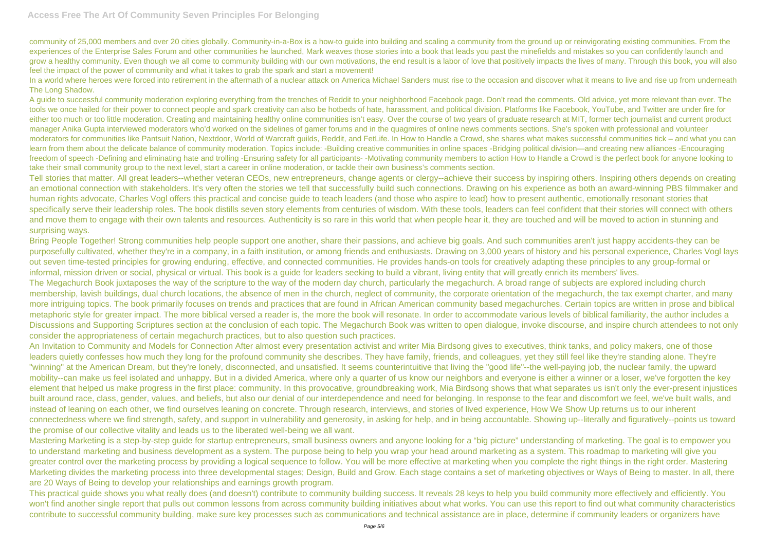community of 25,000 members and over 20 cities globally. Community-in-a-Box is a how-to guide into building and scaling a community from the ground up or reinvigorating existing communities. From the experiences of the Enterprise Sales Forum and other communities he launched. Mark weaves those stories into a book that leads you past the minefields and mistakes so you can confidently launch and grow a healthy community. Even though we all come to community building with our own motivations, the end result is a labor of love that positively impacts the lives of many. Through this book, you will also feel the impact of the power of community and what it takes to grab the spark and start a movement!

In a world where heroes were forced into retirement in the aftermath of a nuclear attack on America Michael Sanders must rise to the occasion and discover what it means to live and rise up from underneath The Long Shadow.

A guide to successful community moderation exploring everything from the trenches of Reddit to your neighborhood Facebook page. Don't read the comments. Old advice, yet more relevant than ever. The tools we once hailed for their power to connect people and spark creativity can also be hotbeds of hate, harassment, and political division. Platforms like Facebook, YouTube, and Twitter are under fire for either too much or too little moderation. Creating and maintaining healthy online communities isn't easy. Over the course of two vears of graduate research at MIT, former tech journalist and current product manager Anika Gupta interviewed moderators who'd worked on the sidelines of gamer forums and in the quagmires of online news comments sections. She's spoken with professional and volunteer moderators for communities like Pantsuit Nation, Nextdoor, World of Warcraft guilds, Reddit, and FetLife. In How to Handle a Crowd, she shares what makes successful communities tick – and what you can learn from them about the delicate balance of community moderation. Topics include: -Building creative communities in online spaces -Bridging political division—and creating new alliances -Encouraging freedom of speech -Defining and eliminating hate and trolling -Ensuring safety for all participants- -Motivating community members to action How to Handle a Crowd is the perfect book for anyone looking to take their small community group to the next level, start a career in online moderation, or tackle their own business's comments section.

Bring People Together! Strong communities help people support one another, share their passions, and achieve big goals. And such communities aren't just happy accidents-they can be purposefully cultivated, whether they're in a company, in a faith institution, or among friends and enthusiasts. Drawing on 3,000 years of history and his personal experience, Charles Vogl lays out seven time-tested principles for growing enduring, effective, and connected communities. He provides hands-on tools for creatively adapting these principles to any group-formal or informal, mission driven or social, physical or virtual. This book is a guide for leaders seeking to build a vibrant, living entity that will greatly enrich its members' lives. The Megachurch Book juxtaposes the way of the scripture to the way of the modern day church, particularly the megachurch. A broad range of subjects are explored including church membership, lavish buildings, dual church locations, the absence of men in the church, neglect of community, the corporate orientation of the megachurch, the tax exempt charter, and many more intriguing topics. The book primarily focuses on trends and practices that are found in African American community based megachurches. Certain topics are written in prose and biblical metaphoric style for greater impact. The more biblical versed a reader is, the more the book will resonate. In order to accommodate various levels of biblical familiarity, the author includes a Discussions and Supporting Scriptures section at the conclusion of each topic. The Megachurch Book was written to open dialogue, invoke discourse, and inspire church attendees to not only consider the appropriateness of certain megachurch practices, but to also question such practices.

Tell stories that matter. All great leaders--whether veteran CEOs, new entrepreneurs, change agents or clergy--achieve their success by inspiring others. Inspiring others depends on creating an emotional connection with stakeholders. It's very often the stories we tell that successfully build such connections. Drawing on his experience as both an award-winning PBS filmmaker and human rights advocate, Charles Vogl offers this practical and concise guide to teach leaders (and those who aspire to lead) how to present authentic, emotionally resonant stories that specifically serve their leadership roles. The book distills seven story elements from centuries of wisdom. With these tools, leaders can feel confident that their stories will connect with others and move them to engage with their own talents and resources. Authenticity is so rare in this world that when people hear it, they are touched and will be moved to action in stunning and surprising ways.

An Invitation to Community and Models for Connection After almost every presentation activist and writer Mia Birdsong gives to executives, think tanks, and policy makers, one of those leaders quietly confesses how much they long for the profound community she describes. They have family, friends, and colleagues, yet they still feel like they're standing alone. They're "winning" at the American Dream, but they're lonely, disconnected, and unsatisfied. It seems counterintuitive that living the "good life"--the well-paying job, the nuclear family, the upward mobility--can make us feel isolated and unhappy. But in a divided America, where only a quarter of us know our neighbors and everyone is either a winner or a loser, we've forgotten the key element that helped us make progress in the first place: community. In this provocative, groundbreaking work, Mia Birdsong shows that what separates us isn't only the ever-present injustices built around race, class, gender, values, and beliefs, but also our denial of our interdependence and need for belonging. In response to the fear and discomfort we feel, we've built walls, and instead of leaning on each other, we find ourselves leaning on concrete. Through research, interviews, and stories of lived experience, How We Show Up returns us to our inherent connectedness where we find strength, safety, and support in vulnerability and generosity, in asking for help, and in being accountable. Showing up--literally and figuratively--points us toward the promise of our collective vitality and leads us to the liberated well-being we all want.

Mastering Marketing is a step-by-step guide for startup entrepreneurs, small business owners and anyone looking for a "big picture" understanding of marketing. The goal is to empower you to understand marketing and business development as a system. The purpose being to help you wrap your head around marketing as a system. This roadmap to marketing will give you greater control over the marketing process by providing a logical sequence to follow. You will be more effective at marketing when you complete the right things in the right order. Mastering Marketing divides the marketing process into three developmental stages; Design, Build and Grow. Each stage contains a set of marketing objectives or Ways of Being to master. In all, there are 20 Ways of Being to develop your relationships and earnings growth program.

This practical guide shows you what really does (and doesn't) contribute to community building success. It reveals 28 keys to help you build community more effectively and efficiently. You won't find another single report that pulls out common lessons from across community building initiatives about what works. You can use this report to find out what community characteristics contribute to successful community building, make sure key processes such as communications and technical assistance are in place, determine if community leaders or organizers have